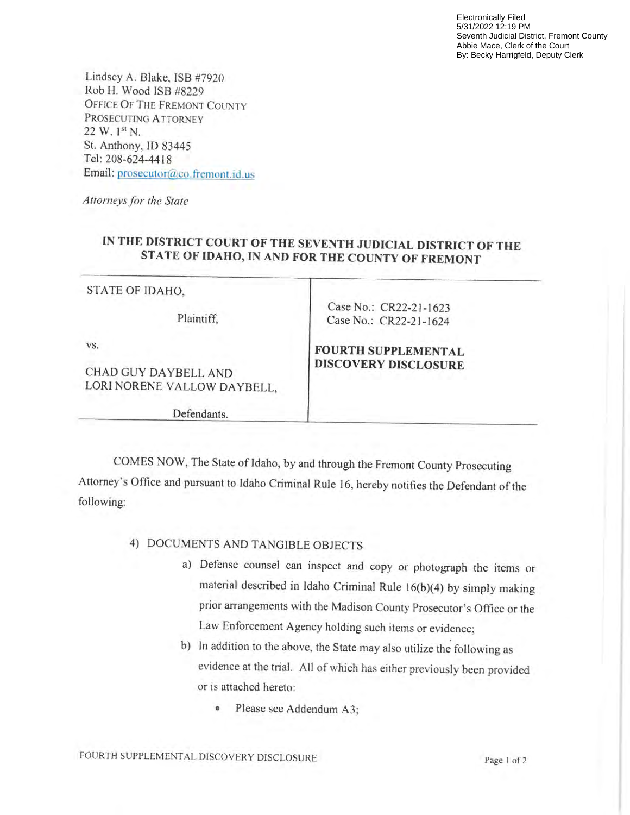Electronically Filed 5/31/2022 12:19 PM Seventh Judicial District, Fremont County Abbie Mace, Clerk of the Court By: Becky Harrigfeld, Deputy Clerk

Lindsey A. Blake, ISB #7920 Rob H. Wood ISB #8229 OFFICE Of THE FREMONT COUNTY PROSECUTING ATTORNEY  $22 W.1^{st} N.$ St. Anthony, ID 83445 Tel: 208-624-4418 Email: prosecutor@co.fremont.id.us

Attorneys for the State

# IN THE DISTRICT COURT OF THE SEVENTH JUDICIAL DISTRICT OF THE STATE OF IDAHO, IN AND FOR THE COUNTY OF FREMONT

#### STATE OF IDAHO,

Plaintiff,

vs.

CHAD GUY DAYBELL AND LORI NORENE VALLOW DAYBELL,

Defendants.

Case No.: CR22-21-1624

Case No.: CR22-21-1623

#### FOURTH SUPPLEMENTAL DISCOVERY DISCLOSURE

COMES NOW, The State of Idaho, by and through the Fremont County Prosecuting Attorney's Office and pursuant to Idaho Criminal Rule 16, hereby notifies the Defendant of the following:

## 4) DOCUMENTS AND TANGIBLE OBJECTS

- a) Defense counsel can inspect and copy or photograph the items or material described in Idaho Criminal Rule I6(b)(4) by simply making prior arrangements with the Madison County Prosecutor's Office or the Law Enforcement Agency holding such items or evidence;
- b) In addition to the above, the State may also utilize the following as evidence at the trial. All of which has either previously been provided or is attached hereto:
	- . Please see Addendum A3;

FOURTH SUPPLEMENTAL DISCOVERY DISCLOSURE Page I of 2